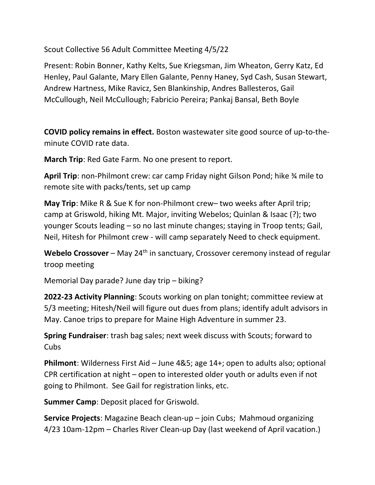Scout Collective 56 Adult Committee Meeting 4/5/22

Present: Robin Bonner, Kathy Kelts, Sue Kriegsman, Jim Wheaton, Gerry Katz, Ed Henley, Paul Galante, Mary Ellen Galante, Penny Haney, Syd Cash, Susan Stewart, Andrew Hartness, Mike Ravicz, Sen Blankinship, Andres Ballesteros, Gail McCullough, Neil McCullough; Fabricio Pereira; Pankaj Bansal, Beth Boyle

COVID policy remains in effect. Boston wastewater site good source of up-to-theminute COVID rate data.

March Trip: Red Gate Farm. No one present to report.

April Trip: non-Philmont crew: car camp Friday night Gilson Pond; hike <sup>34</sup> mile to remote site with packs/tents, set up camp

May Trip: Mike R & Sue K for non-Philmont crew– two weeks after April trip; camp at Griswold, hiking Mt. Major, inviting Webelos; Quinlan & Isaac (?); two younger Scouts leading – so no last minute changes; staying in Troop tents; Gail, Neil, Hitesh for Philmont crew - will camp separately Need to check equipment.

Webelo Crossover – May  $24<sup>th</sup>$  in sanctuary, Crossover ceremony instead of regular troop meeting

Memorial Day parade? June day trip – biking?

2022-23 Activity Planning: Scouts working on plan tonight; committee review at 5/3 meeting; Hitesh/Neil will figure out dues from plans; identify adult advisors in May. Canoe trips to prepare for Maine High Adventure in summer 23.

Spring Fundraiser: trash bag sales; next week discuss with Scouts; forward to Cubs

Philmont: Wilderness First Aid – June 4&5; age 14+; open to adults also; optional CPR certification at night – open to interested older youth or adults even if not going to Philmont. See Gail for registration links, etc.

Summer Camp: Deposit placed for Griswold.

Service Projects: Magazine Beach clean-up – join Cubs; Mahmoud organizing 4/23 10am-12pm – Charles River Clean-up Day (last weekend of April vacation.)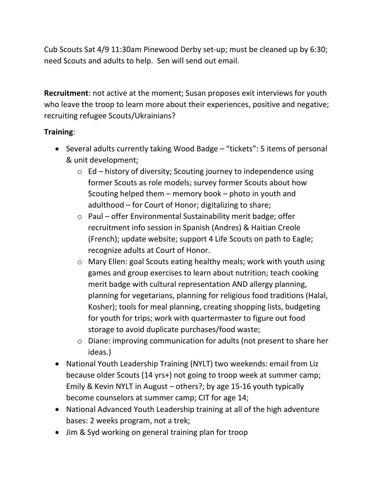Cub Scouts Sat 4/9 11:30am Pinewood Derby set-up; must be cleaned up by 6:30; need Scouts and adults to help. Sen will send out email.

Recruitment: not active at the moment; Susan proposes exit interviews for youth who leave the troop to learn more about their experiences, positive and negative; recruiting refugee Scouts/Ukrainians?

## Training:

- Several adults currently taking Wood Badge "tickets": 5 items of personal & unit development;
	- $\circ$  Ed history of diversity; Scouting journey to independence using former Scouts as role models; survey former Scouts about how Scouting helped them – memory book – photo in youth and adulthood – for Court of Honor; digitalizing to share;
	- o Paul offer Environmental Sustainability merit badge; offer recruitment info session in Spanish (Andres) & Haitian Creole (French); update website; support 4 Life Scouts on path to Eagle; recognize adults at Court of Honor.
	- o Mary Ellen: goal Scouts eating healthy meals; work with youth using games and group exercises to learn about nutrition; teach cooking merit badge with cultural representation AND allergy planning, planning for vegetarians, planning for religious food traditions (Halal, Kosher); tools for meal planning, creating shopping lists, budgeting for youth for trips; work with quartermaster to figure out food storage to avoid duplicate purchases/food waste;
	- o Diane: improving communication for adults (not present to share her ideas.)
- National Youth Leadership Training (NYLT) two weekends: email from Liz because older Scouts (14 yrs+) not going to troop week at summer camp; Emily & Kevin NYLT in August – others?; by age 15-16 youth typically become counselors at summer camp; CIT for age 14;
- National Advanced Youth Leadership training at all of the high adventure bases: 2 weeks program, not a trek;
- Jim & Syd working on general training plan for troop